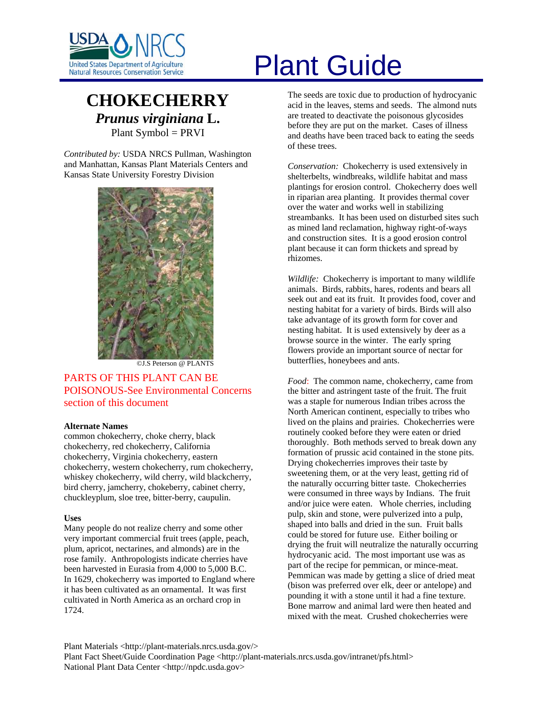

## **CHOKECHERRY** *Prunus virginiana* **L.**  Plant Symbol = PRVI

*Contributed by:* USDA NRCS Pullman, Washington and Manhattan, Kansas Plant Materials Centers and Kansas State University Forestry Division



©J.S Peterson @ PLANTS

### PARTS OF THIS PLANT CAN BE POISONOUS-See Environmental Concerns section of this document

#### **Alternate Names**

common chokecherry, choke cherry, black chokecherry, red chokecherry, California chokecherry, Virginia chokecherry, eastern chokecherry, western chokecherry, rum chokecherry, whiskey chokecherry, wild cherry, wild blackcherry, bird cherry, jamcherry, chokeberry, cabinet cherry, chuckleyplum, sloe tree, bitter-berry, caupulin.

#### **Uses**

Many people do not realize cherry and some other very important commercial fruit trees (apple, peach, plum, apricot, nectarines, and almonds) are in the rose family. Anthropologists indicate cherries have been harvested in Eurasia from 4,000 to 5,000 B.C. In 1629, chokecherry was imported to England where it has been cultivated as an ornamental. It was first cultivated in North America as an orchard crop in 1724.

# United States Department of Agriculture<br>Natural Resources Conservation Service

The seeds are toxic due to production of hydrocyanic acid in the leaves, stems and seeds. The almond nuts are treated to deactivate the poisonous glycosides before they are put on the market. Cases of illness and deaths have been traced back to eating the seeds of these trees.

*Conservation:* Chokecherry is used extensively in shelterbelts, windbreaks, wildlife habitat and mass plantings for erosion control. Chokecherry does well in riparian area planting. It provides thermal cover over the water and works well in stabilizing streambanks. It has been used on disturbed sites such as mined land reclamation, highway right-of-ways and construction sites. It is a good erosion control plant because it can form thickets and spread by rhizomes.

*Wildlife:* Chokecherry is important to many wildlife animals. Birds, rabbits, hares, rodents and bears all seek out and eat its fruit. It provides food, cover and nesting habitat for a variety of birds. Birds will also take advantage of its growth form for cover and nesting habitat. It is used extensively by deer as a browse source in the winter. The early spring flowers provide an important source of nectar for butterflies, honeybees and ants.

*Food*: The common name, chokecherry, came from the bitter and astringent taste of the fruit. The fruit was a staple for numerous Indian tribes across the North American continent, especially to tribes who lived on the plains and prairies. Chokecherries were routinely cooked before they were eaten or dried thoroughly. Both methods served to break down any formation of prussic acid contained in the stone pits. Drying chokecherries improves their taste by sweetening them, or at the very least, getting rid of the naturally occurring bitter taste. Chokecherries were consumed in three ways by Indians. The fruit and/or juice were eaten. Whole cherries, including pulp, skin and stone, were pulverized into a pulp, shaped into balls and dried in the sun. Fruit balls could be stored for future use. Either boiling or drying the fruit will neutralize the naturally occurring hydrocyanic acid. The most important use was as part of the recipe for pemmican, or mince-meat. Pemmican was made by getting a slice of dried meat (bison was preferred over elk, deer or antelope) and pounding it with a stone until it had a fine texture. Bone marrow and animal lard were then heated and mixed with the meat. Crushed chokecherries were

Plant Materials <http://plant-materials.nrcs.usda.gov/> Plant Fact Sheet/Guide Coordination Page <http://plant-materials.nrcs.usda.gov/intranet/pfs.html> National Plant Data Center <http://npdc.usda.gov>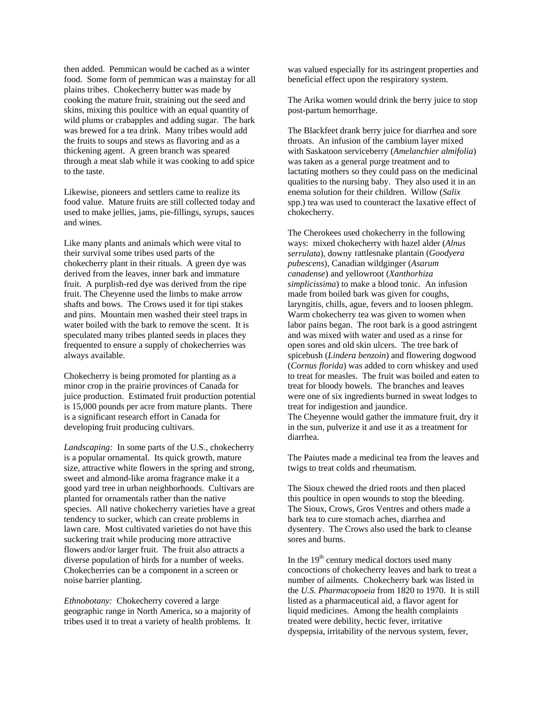then added. Pemmican would be cached as a winter food. Some form of pemmican was a mainstay for all plains tribes. Chokecherry butter was made by cooking the mature fruit, straining out the seed and skins, mixing this poultice with an equal quantity of wild plums or crabapples and adding sugar. The bark was brewed for a tea drink. Many tribes would add the fruits to soups and stews as flavoring and as a thickening agent. A green branch was speared through a meat slab while it was cooking to add spice to the taste.

Likewise, pioneers and settlers came to realize its food value. Mature fruits are still collected today and used to make jellies, jams, pie-fillings, syrups, sauces and wines.

Like many plants and animals which were vital to their survival some tribes used parts of the chokecherry plant in their rituals. A green dye was derived from the leaves, inner bark and immature fruit. A purplish-red dye was derived from the ripe fruit. The Cheyenne used the limbs to make arrow shafts and bows. The Crows used it for tipi stakes and pins. Mountain men washed their steel traps in water boiled with the bark to remove the scent. It is speculated many tribes planted seeds in places they frequented to ensure a supply of chokecherries was always available.

Chokecherry is being promoted for planting as a minor crop in the prairie provinces of Canada for juice production. Estimated fruit production potential is 15,000 pounds per acre from mature plants. There is a significant research effort in Canada for developing fruit producing cultivars.

*Landscaping:* In some parts of the U.S., chokecherry is a popular ornamental. Its quick growth, mature size, attractive white flowers in the spring and strong, sweet and almond-like aroma fragrance make it a good yard tree in urban neighborhoods. Cultivars are planted for ornamentals rather than the native species. All native chokecherry varieties have a great tendency to sucker, which can create problems in lawn care. Most cultivated varieties do not have this suckering trait while producing more attractive flowers and/or larger fruit. The fruit also attracts a diverse population of birds for a number of weeks. Chokecherries can be a component in a screen or noise barrier planting.

*Ethnobotany:* Chokecherry covered a large geographic range in North America, so a majority of tribes used it to treat a variety of health problems. It was valued especially for its astringent properties and beneficial effect upon the respiratory system.

The Arika women would drink the berry juice to stop post-partum hemorrhage.

The Blackfeet drank berry juice for diarrhea and sore throats. An infusion of the cambium layer mixed with Saskatoon serviceberry (*Amelanchier almifolia*) was taken as a general purge treatment and to lactating mothers so they could pass on the medicinal qualities to the nursing baby. They also used it in an enema solution for their children. Willow (*Salix* spp.) tea was used to counteract the laxative effect of chokecherry.

The Cherokees used chokecherry in the following ways: mixed chokecherry with hazel alder (*Alnus serrulata*), downy rattlesnake plantain (*Goodyera pubescens*), Canadian wildginger (*Asarum canadense*) and yellowroot (*Xanthorhiza simplicissima*) to make a blood tonic. An infusion made from boiled bark was given for coughs, laryngitis, chills, ague, fevers and to loosen phlegm. Warm chokecherry tea was given to women when labor pains began. The root bark is a good astringent and was mixed with water and used as a rinse for open sores and old skin ulcers. The tree bark of spicebush (*Lindera benzoin*) and flowering dogwood (*Cornus florida*) was added to corn whiskey and used to treat for measles. The fruit was boiled and eaten to treat for bloody bowels. The branches and leaves were one of six ingredients burned in sweat lodges to treat for indigestion and jaundice. The Cheyenne would gather the immature fruit, dry it in the sun, pulverize it and use it as a treatment for diarrhea.

The Paiutes made a medicinal tea from the leaves and twigs to treat colds and rheumatism.

The Sioux chewed the dried roots and then placed this poultice in open wounds to stop the bleeding. The Sioux, Crows, Gros Ventres and others made a bark tea to cure stomach aches, diarrhea and dysentery. The Crows also used the bark to cleanse sores and burns.

In the  $19<sup>th</sup>$  century medical doctors used many concoctions of chokecherry leaves and bark to treat a number of ailments. Chokecherry bark was listed in the *U.S. Pharmacopoeia* from 1820 to 1970. It is still listed as a pharmaceutical aid, a flavor agent for liquid medicines. Among the health complaints treated were debility, hectic fever, irritative dyspepsia, irritability of the nervous system, fever,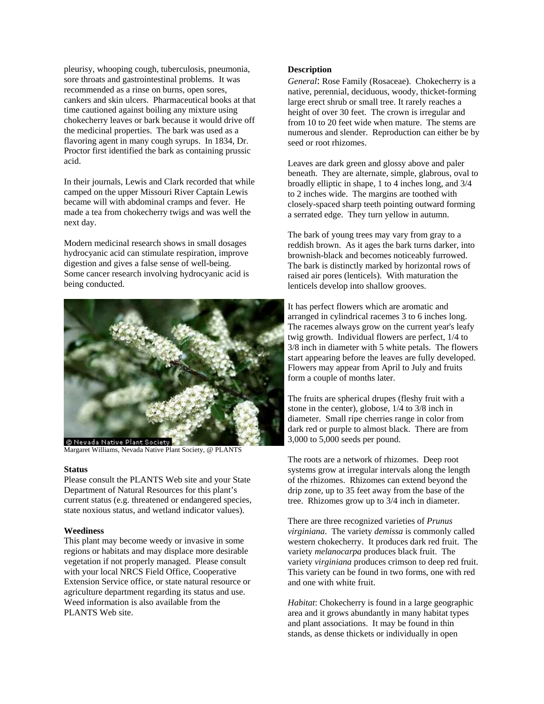pleurisy, whooping cough, tuberculosis, pneumonia, sore throats and gastrointestinal problems. It was recommended as a rinse on burns, open sores, cankers and skin ulcers. Pharmaceutical books at that time cautioned against boiling any mixture using chokecherry leaves or bark because it would drive off the medicinal properties. The bark was used as a flavoring agent in many cough syrups. In 1834, Dr. Proctor first identified the bark as containing prussic acid.

In their journals, Lewis and Clark recorded that while camped on the upper Missouri River Captain Lewis became will with abdominal cramps and fever. He made a tea from chokecherry twigs and was well the next day.

Modern medicinal research shows in small dosages hydrocyanic acid can stimulate respiration, improve digestion and gives a false sense of well-being. Some cancer research involving hydrocyanic acid is being conducted.



[Margaret Williams, Nevada Native Plant Society, @ PLANTS](http://plants.usda.gov/java/largeImage?imageID=prvi_004_ahp.tif) 

#### **Status**

Please consult the PLANTS Web site and your State Department of Natural Resources for this plant's current status (e.g. threatened or endangered species, state noxious status, and wetland indicator values).

#### **Weediness**

This plant may become weedy or invasive in some regions or habitats and may displace more desirable vegetation if not properly managed. Please consult with your local NRCS Field Office, Cooperative Extension Service office, or state natural resource or agriculture department regarding its status and use. Weed information is also available from the PLANTS Web site.

#### **Description**

*General*: Rose Family (Rosaceae). Chokecherry is a native, perennial, deciduous, woody, thicket-forming large erect shrub or small tree. It rarely reaches a height of over 30 feet. The crown is irregular and from 10 to 20 feet wide when mature. The stems are numerous and slender. Reproduction can either be by seed or root rhizomes.

Leaves are dark green and glossy above and paler beneath. They are alternate, simple, glabrous, oval to broadly elliptic in shape, 1 to 4 inches long, and 3/4 to 2 inches wide. The margins are toothed with closely-spaced sharp teeth pointing outward forming a serrated edge. They turn yellow in autumn.

The bark of young trees may vary from gray to a reddish brown. As it ages the bark turns darker, into brownish-black and becomes noticeably furrowed. The bark is distinctly marked by horizontal rows of raised air pores (lenticels). With maturation the lenticels develop into shallow grooves.

It has perfect flowers which are aromatic and arranged in cylindrical racemes 3 to 6 inches long. The racemes always grow on the current year's leafy twig growth. Individual flowers are perfect, 1/4 to 3/8 inch in diameter with 5 white petals. The flowers start appearing before the leaves are fully developed. Flowers may appear from April to July and fruits form a couple of months later.

The fruits are spherical drupes (fleshy fruit with a stone in the center), globose, 1/4 to 3/8 inch in diameter. Small ripe cherries range in color from dark red or purple to almost black. There are from 3,000 to 5,000 seeds per pound.

The roots are a network of rhizomes. Deep root systems grow at irregular intervals along the length of the rhizomes. Rhizomes can extend beyond the drip zone, up to 35 feet away from the base of the tree. Rhizomes grow up to 3/4 inch in diameter.

There are three recognized varieties of *Prunus virginiana*. The variety *demissa* is commonly called western chokecherry. It produces dark red fruit. The variety *melanocarpa* produces black fruit. The variety *virginiana* produces crimson to deep red fruit. This variety can be found in two forms, one with red and one with white fruit.

*Habitat*: Chokecherry is found in a large geographic area and it grows abundantly in many habitat types and plant associations. It may be found in thin stands, as dense thickets or individually in open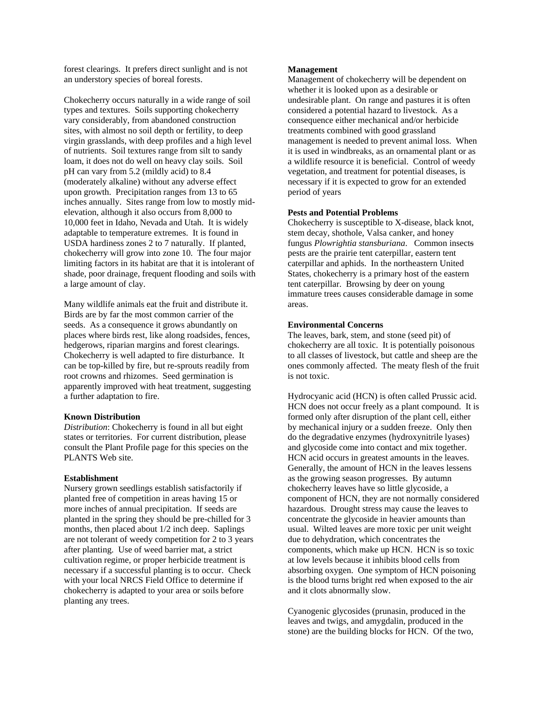forest clearings. It prefers direct sunlight and is not an understory species of boreal forests.

Chokecherry occurs naturally in a wide range of soil types and textures. Soils supporting chokecherry vary considerably, from abandoned construction sites, with almost no soil depth or fertility, to deep virgin grasslands, with deep profiles and a high level of nutrients. Soil textures range from silt to sandy loam, it does not do well on heavy clay soils. Soil pH can vary from 5.2 (mildly acid) to 8.4 (moderately alkaline) without any adverse effect upon growth. Precipitation ranges from 13 to 65 inches annually. Sites range from low to mostly midelevation, although it also occurs from 8,000 to 10,000 feet in Idaho, Nevada and Utah. It is widely adaptable to temperature extremes. It is found in USDA hardiness zones 2 to 7 naturally. If planted, chokecherry will grow into zone 10. The four major limiting factors in its habitat are that it is intolerant of shade, poor drainage, frequent flooding and soils with a large amount of clay.

Many wildlife animals eat the fruit and distribute it. Birds are by far the most common carrier of the seeds. As a consequence it grows abundantly on places where birds rest, like along roadsides, fences, hedgerows, riparian margins and forest clearings. Chokecherry is well adapted to fire disturbance. It can be top-killed by fire, but re-sprouts readily from root crowns and rhizomes. Seed germination is apparently improved with heat treatment, suggesting a further adaptation to fire.

#### **Known Distribution**

*Distribution*: Chokecherry is found in all but eight states or territories. For current distribution, please consult the Plant Profile page for this species on the PLANTS Web site.

#### **Establishment**

Nursery grown seedlings establish satisfactorily if planted free of competition in areas having 15 or more inches of annual precipitation. If seeds are planted in the spring they should be pre-chilled for 3 months, then placed about 1/2 inch deep. Saplings are not tolerant of weedy competition for 2 to 3 years after planting. Use of weed barrier mat, a strict cultivation regime, or proper herbicide treatment is necessary if a successful planting is to occur. Check with your local NRCS Field Office to determine if chokecherry is adapted to your area or soils before planting any trees.

#### **Management**

Management of chokecherry will be dependent on whether it is looked upon as a desirable or undesirable plant. On range and pastures it is often considered a potential hazard to livestock. As a consequence either mechanical and/or herbicide treatments combined with good grassland management is needed to prevent animal loss. When it is used in windbreaks, as an ornamental plant or as a wildlife resource it is beneficial. Control of weedy vegetation, and treatment for potential diseases, is necessary if it is expected to grow for an extended period of years

#### **Pests and Potential Problems**

Chokecherry is susceptible to X-disease, black knot, stem decay, shothole, Valsa canker, and honey fungus *Plowrightia stansburiana*. Common insects pests are the prairie tent caterpillar, eastern tent caterpillar and aphids. In the northeastern United States, chokecherry is a primary host of the eastern tent caterpillar. Browsing by deer on young immature trees causes considerable damage in some areas.

#### **Environmental Concerns**

The leaves, bark, stem, and stone (seed pit) of chokecherry are all toxic. It is potentially poisonous to all classes of livestock, but cattle and sheep are the ones commonly affected. The meaty flesh of the fruit is not toxic.

Hydrocyanic acid (HCN) is often called Prussic acid. HCN does not occur freely as a plant compound. It is formed only after disruption of the plant cell, either by mechanical injury or a sudden freeze. Only then do the degradative enzymes (hydroxynitrile lyases) and glycoside come into contact and mix together. HCN acid occurs in greatest amounts in the leaves. Generally, the amount of HCN in the leaves lessens as the growing season progresses. By autumn chokecherry leaves have so little glycoside, a component of HCN, they are not normally considered hazardous. Drought stress may cause the leaves to concentrate the glycoside in heavier amounts than usual. Wilted leaves are more toxic per unit weight due to dehydration, which concentrates the components, which make up HCN. HCN is so toxic at low levels because it inhibits blood cells from absorbing oxygen. One symptom of HCN poisoning is the blood turns bright red when exposed to the air and it clots abnormally slow.

Cyanogenic glycosides (prunasin, produced in the leaves and twigs, and amygdalin, produced in the stone) are the building blocks for HCN. Of the two,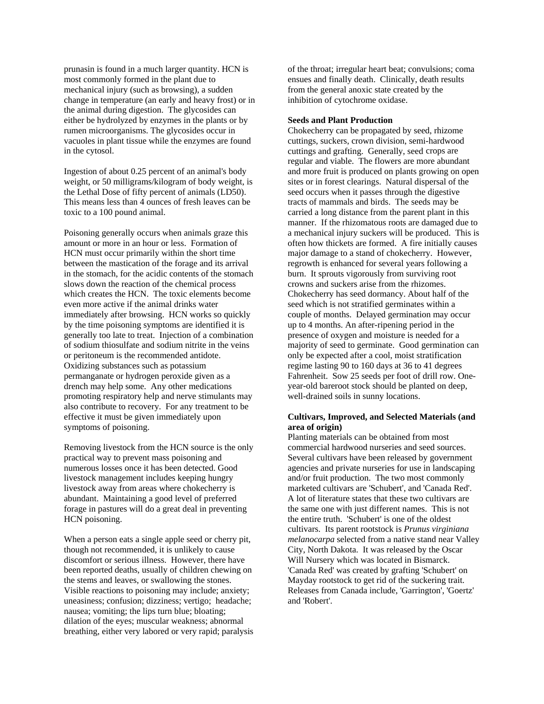prunasin is found in a much larger quantity. HCN is most commonly formed in the plant due to mechanical injury (such as browsing), a sudden change in temperature (an early and heavy frost) or in the animal during digestion. The glycosides can either be hydrolyzed by enzymes in the plants or by rumen microorganisms. The glycosides occur in vacuoles in plant tissue while the enzymes are found in the cytosol.

Ingestion of about 0.25 percent of an animal's body weight, or 50 milligrams/kilogram of body weight, is the Lethal Dose of fifty percent of animals (LD50). This means less than 4 ounces of fresh leaves can be toxic to a 100 pound animal.

Poisoning generally occurs when animals graze this amount or more in an hour or less. Formation of HCN must occur primarily within the short time between the mastication of the forage and its arrival in the stomach, for the acidic contents of the stomach slows down the reaction of the chemical process which creates the HCN. The toxic elements become even more active if the animal drinks water immediately after browsing. HCN works so quickly by the time poisoning symptoms are identified it is generally too late to treat. Injection of a combination of sodium thiosulfate and sodium nitrite in the veins or peritoneum is the recommended antidote. Oxidizing substances such as potassium permanganate or hydrogen peroxide given as a drench may help some. Any other medications promoting respiratory help and nerve stimulants may also contribute to recovery. For any treatment to be effective it must be given immediately upon symptoms of poisoning.

Removing livestock from the HCN source is the only practical way to prevent mass poisoning and numerous losses once it has been detected. Good livestock management includes keeping hungry livestock away from areas where chokecherry is abundant. Maintaining a good level of preferred forage in pastures will do a great deal in preventing HCN poisoning.

When a person eats a single apple seed or cherry pit, though not recommended, it is unlikely to cause discomfort or serious illness. However, there have been reported deaths, usually of children chewing on the stems and leaves, or swallowing the stones. Visible reactions to poisoning may include; anxiety; uneasiness; confusion; dizziness; vertigo; headache; nausea; vomiting; the lips turn blue; bloating; dilation of the eyes; muscular weakness; abnormal breathing, either very labored or very rapid; paralysis of the throat; irregular heart beat; convulsions; coma ensues and finally death. Clinically, death results from the general anoxic state created by the inhibition of cytochrome oxidase.

#### **Seeds and Plant Production**

Chokecherry can be propagated by seed, rhizome cuttings, suckers, crown division, semi-hardwood cuttings and grafting. Generally, seed crops are regular and viable. The flowers are more abundant and more fruit is produced on plants growing on open sites or in forest clearings. Natural dispersal of the seed occurs when it passes through the digestive tracts of mammals and birds. The seeds may be carried a long distance from the parent plant in this manner. If the rhizomatous roots are damaged due to a mechanical injury suckers will be produced. This is often how thickets are formed. A fire initially causes major damage to a stand of chokecherry. However, regrowth is enhanced for several years following a burn. It sprouts vigorously from surviving root crowns and suckers arise from the rhizomes. Chokecherry has seed dormancy. About half of the seed which is not stratified germinates within a couple of months. Delayed germination may occur up to 4 months. An after-ripening period in the presence of oxygen and moisture is needed for a majority of seed to germinate. Good germination can only be expected after a cool, moist stratification regime lasting 90 to 160 days at 36 to 41 degrees Fahrenheit. Sow 25 seeds per foot of drill row. Oneyear-old bareroot stock should be planted on deep, well-drained soils in sunny locations.

#### **Cultivars, Improved, and Selected Materials (and area of origin)**

Planting materials can be obtained from most commercial hardwood nurseries and seed sources. Several cultivars have been released by government agencies and private nurseries for use in landscaping and/or fruit production. The two most commonly marketed cultivars are 'Schubert', and 'Canada Red'. A lot of literature states that these two cultivars are the same one with just different names. This is not the entire truth. 'Schubert' is one of the oldest cultivars. Its parent rootstock is *Prunus virginiana melanocarpa* selected from a native stand near Valley City, North Dakota. It was released by the Oscar Will Nursery which was located in Bismarck. 'Canada Red' was created by grafting 'Schubert' on Mayday rootstock to get rid of the suckering trait. Releases from Canada include, 'Garrington', 'Goertz' and 'Robert'.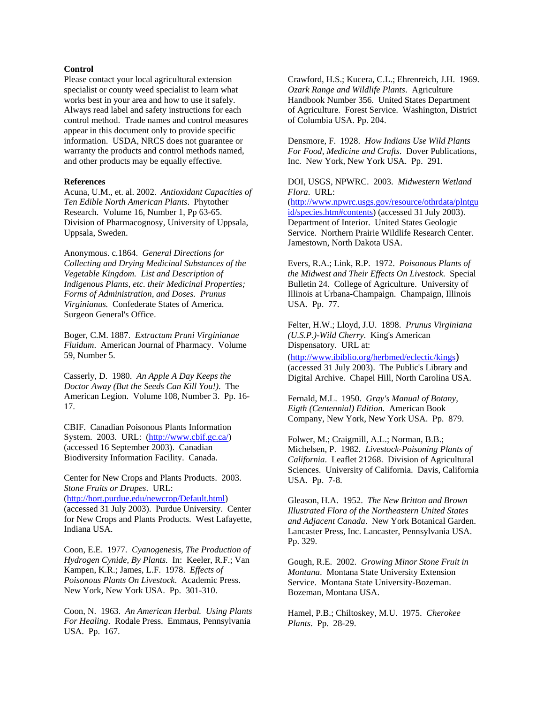#### **Control**

Please contact your local agricultural extension specialist or county weed specialist to learn what works best in your area and how to use it safely. Always read label and safety instructions for each control method. Trade names and control measures appear in this document only to provide specific information. USDA, NRCS does not guarantee or warranty the products and control methods named, and other products may be equally effective.

#### **References**

Acuna, U.M., et. al. 2002. *Antioxidant Capacities of Ten Edible North American Plants*. Phytother Research. Volume 16, Number 1, Pp 63-65. Division of Pharmacognosy, University of Uppsala, Uppsala, Sweden.

Anonymous. c.1864. *General Directions for Collecting and Drying Medicinal Substances of the Vegetable Kingdom. List and Description of Indigenous Plants, etc. their Medicinal Properties; Forms of Administration, and Doses. Prunus Virginianus.* Confederate States of America. Surgeon General's Office.

Boger, C.M. 1887. *Extractum Pruni Virginianae Fluidum*. American Journal of Pharmacy. Volume 59, Number 5.

Casserly, D. 1980. *An Apple A Day Keeps the Doctor Away (But the Seeds Can Kill You!)*. The American Legion. Volume 108, Number 3. Pp. 16- 17.

CBIF. Canadian Poisonous Plants Information System. 2003. URL: (<http://www.cbif.gc.ca/>) (accessed 16 September 2003). Canadian Biodiversity Information Facility. Canada.

Center for New Crops and Plants Products. 2003. *Stone Fruits or Drupes*. URL:

[\(http://hort.purdue.edu/newcrop/Default.html](http://hort.purdue.edu/newcrop/Default.html)) (accessed 31 July 2003). Purdue University. Center for New Crops and Plants Products. West Lafayette, Indiana USA.

Coon, E.E. 1977. *Cyanogenesis, The Production of Hydrogen Cynide, By Plants.* In: Keeler, R.F.; Van Kampen, K.R.; James, L.F. 1978. *Effects of Poisonous Plants On Livestock*. Academic Press. New York, New York USA. Pp. 301-310.

Coon, N. 1963. *An American Herbal. Using Plants For Healing*. Rodale Press. Emmaus, Pennsylvania USA. Pp. 167.

Crawford, H.S.; Kucera, C.L.; Ehrenreich, J.H. 1969. *Ozark Range and Wildlife Plants*. Agriculture Handbook Number 356. United States Department of Agriculture. Forest Service. Washington, District of Columbia USA. Pp. 204.

Densmore, F. 1928. *How Indians Use Wild Plants For Food, Medicine and Crafts*. Dover Publications, Inc. New York, New York USA. Pp. 291.

DOI, USGS, NPWRC. 2003. *Midwestern Wetland Flora*. URL:

[\(http://www.npwrc.usgs.gov/resource/othrdata/plntgu](http://www.npwrc.usgs.gov/resource/othrdata/plntguid/species.htm#contents) [id/species.htm#contents\)](http://www.npwrc.usgs.gov/resource/othrdata/plntguid/species.htm#contents) (accessed 31 July 2003). Department of Interior. United States Geologic Service. Northern Prairie Wildlife Research Center. Jamestown, North Dakota USA.

Evers, R.A.; Link, R.P. 1972. *Poisonous Plants of the Midwest and Their Effects On Livestock*. Special Bulletin 24. College of Agriculture. University of Illinois at Urbana-Champaign. Champaign, Illinois USA. Pp. 77.

Felter, H.W.; Lloyd, J.U. 1898. *Prunus Virginiana (U.S.P.)-Wild Cherry*. King's American Dispensatory. URL at:

[\(http://www.ibiblio.org/herbmed/eclectic/kings\)](http://www.ibiblio.org/herbmed/eclectic/kings) (accessed 31 July 2003). The Public's Library and Digital Archive. Chapel Hill, North Carolina USA.

Fernald, M.L. 1950. *Gray's Manual of Botany, Eigth (Centennial) Edition*. American Book Company, New York, New York USA. Pp. 879.

Folwer, M.; Craigmill, A.L.; Norman, B.B.; Michelsen, P. 1982. *Livestock-Poisoning Plants of California*. Leaflet 21268. Division of Agricultural Sciences. University of California. Davis, California USA. Pp. 7-8.

Gleason, H.A. 1952. *The New Britton and Brown Illustrated Flora of the Northeastern United States and Adjacent Canada*. New York Botanical Garden. Lancaster Press, Inc. Lancaster, Pennsylvania USA. Pp. 329.

Gough, R.E. 2002. *Growing Minor Stone Fruit in Montana*. Montana State University Extension Service. Montana State University-Bozeman. Bozeman, Montana USA.

Hamel, P.B.; Chiltoskey, M.U. 1975. *Cherokee Plants*. Pp. 28-29.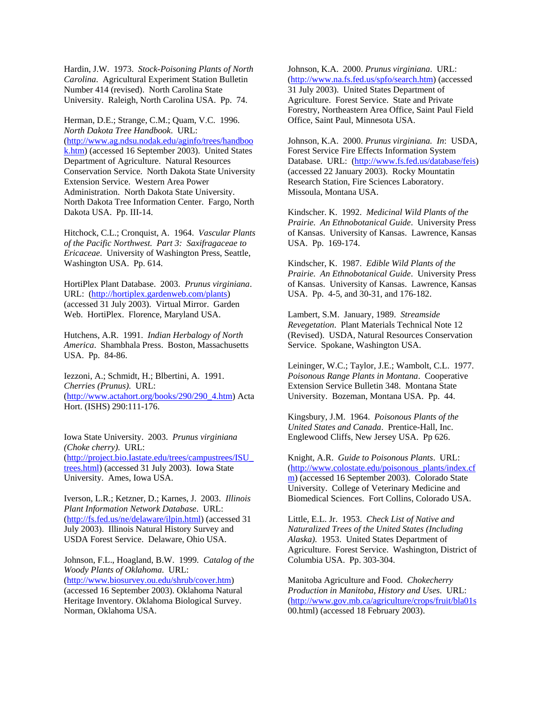Hardin, J.W. 1973. *Stock-Poisoning Plants of North Carolina*. Agricultural Experiment Station Bulletin Number 414 (revised). North Carolina State University. Raleigh, North Carolina USA. Pp. 74.

Herman, D.E.; Strange, C.M.; Quam, V.C. 1996. *North Dakota Tree Handbook*. URL: [\(http://www.ag.ndsu.nodak.edu/aginfo/trees/handboo](http://www.ag.ndsu.nodak.edu/aginfo/trees/handbook.htm) [k.htm\)](http://www.ag.ndsu.nodak.edu/aginfo/trees/handbook.htm) (accessed 16 September 2003). United States Department of Agriculture. Natural Resources Conservation Service. North Dakota State University Extension Service. Western Area Power Administration. North Dakota State University. North Dakota Tree Information Center. Fargo, North Dakota USA. Pp. III-14.

Hitchock, C.L.; Cronquist, A. 1964. *Vascular Plants of the Pacific Northwest. Part 3: Saxifragaceae to Ericaceae*. University of Washington Press, Seattle, Washington USA. Pp. 614.

HortiPlex Plant Database. 2003. *Prunus virginiana*. URL: [\(http://hortiplex.gardenweb.com/plants\)](http://hortiplex.gardenweb.com/plants) (accessed 31 July 2003). Virtual Mirror. Garden Web. HortiPlex. Florence, Maryland USA.

Hutchens, A.R. 1991. *Indian Herbalogy of North America*. Shambhala Press. Boston, Massachusetts USA. Pp. 84-86.

Iezzoni, A.; Schmidt, H.; Blbertini, A. 1991. *Cherries (Prunus)*. URL: [\(http://www.actahort.org/books/290/290\\_4.htm\)](http://www.actahort.org/books/290/290_4.htm) Acta Hort. (ISHS) 290:111-176.

Iowa State University. 2003. *Prunus virginiana (Choke cherry)*. URL: [\(http://project.bio.Iastate.edu/trees/campustrees/ISU\\_](http://project.bio.iastate.edu/trees/campustrees/ISU_trees.html) [trees.html\)](http://project.bio.iastate.edu/trees/campustrees/ISU_trees.html) (accessed 31 July 2003). Iowa State University. Ames, Iowa USA.

Iverson, L.R.; Ketzner, D.; Karnes, J. 2003. *Illinois Plant Information Network Database*. URL: [\(http://fs.fed.us/ne/delaware/ilpin.html](http://fs.fed.us/ne/delaware/ilpin.html)) (accessed 31 July 2003). Illinois Natural History Survey and USDA Forest Service. Delaware, Ohio USA.

Johnson, F.L., Hoagland, B.W. 1999. *Catalog of the Woody Plants of Oklahoma*. URL: [\(http://www.biosurvey.ou.edu/shrub/cover.htm](http://www.biosurvey.ou.edu/shrub/cover.htm)) (accessed 16 September 2003). Oklahoma Natural Heritage Inventory. Oklahoma Biological Survey. Norman, Oklahoma USA.

Johnson, K.A. 2000. *Prunus virginiana*. URL: [\(http://www.na.fs.fed.us/spfo/search.htm\)](http://www.na.fs.fed.us/spfo/search.htm) (accessed 31 July 2003). United States Department of Agriculture. Forest Service. State and Private Forestry, Northeastern Area Office, Saint Paul Field Office, Saint Paul, Minnesota USA.

Johnson, K.A. 2000. *Prunus virginiana. In*: USDA, Forest Service Fire Effects Information System Database. URL: [\(http://www.fs.fed.us/database/feis\)](http://www.fs.fed.us/database/feis) (accessed 22 January 2003). Rocky Mountatin Research Station, Fire Sciences Laboratory. Missoula, Montana USA.

Kindscher. K. 1992. *Medicinal Wild Plants of the Prairie. An Ethnobotanical Guide*. University Press of Kansas. University of Kansas. Lawrence, Kansas USA. Pp. 169-174.

Kindscher, K. 1987. *Edible Wild Plants of the Prairie. An Ethnobotanical Guide*. University Press of Kansas. University of Kansas. Lawrence, Kansas USA. Pp. 4-5, and 30-31, and 176-182.

Lambert, S.M. January, 1989. *Streamside Revegetation*. Plant Materials Technical Note 12 (Revised). USDA, Natural Resources Conservation Service. Spokane, Washington USA.

Leininger, W.C.; Taylor, J.E.; Wambolt, C.L. 1977. *Poisonous Range Plants in Montana*. Cooperative Extension Service Bulletin 348. Montana State University. Bozeman, Montana USA. Pp. 44.

Kingsbury, J.M. 1964. *Poisonous Plants of the United States and Canada*. Prentice-Hall, Inc. Englewood Cliffs, New Jersey USA. Pp 626.

Knight, A.R. *Guide to Poisonous Plants*. URL: [\(http://www.colostate.edu/poisonous\\_plants/index.cf](http://www.colostate.edu/poisonous_plants/index.cfm) [m\)](http://www.colostate.edu/poisonous_plants/index.cfm) (accessed 16 September 2003). Colorado State University. College of Veterinary Medicine and Biomedical Sciences. Fort Collins, Colorado USA.

Little, E.L. Jr. 1953. *Check List of Native and Naturalized Trees of the United States (Including Alaska)*. 1953. United States Department of Agriculture. Forest Service. Washington, District of Columbia USA. Pp. 303-304.

Manitoba Agriculture and Food. *Chokecherry Production in Manitoba, History and Uses*. URL: [\(http://www.gov.mb.ca/agriculture/crops/fruit/bla01s](http://www.gov.mb.ca/agriculture/crops/fruit/bla01s) 00.html) (accessed 18 February 2003).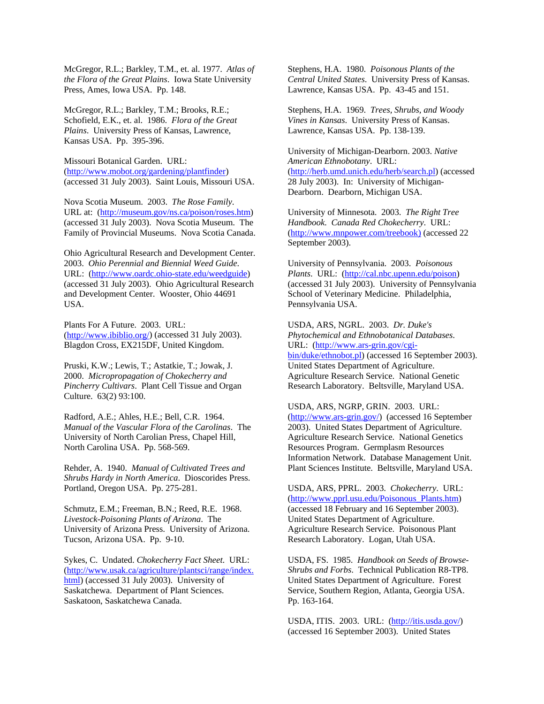McGregor, R.L.; Barkley, T.M., et. al. 1977. *Atlas of the Flora of the Great Plains*. Iowa State University Press, Ames, Iowa USA. Pp. 148.

McGregor, R.L.; Barkley, T.M.; Brooks, R.E.; Schofield, E.K., et. al. 1986. *Flora of the Great Plains*. University Press of Kansas, Lawrence, Kansas USA. Pp. 395-396.

Missouri Botanical Garden. URL: [\(http://www.mobot.org/gardening/plantfinder](http://www.mobot.org/gardening/plantfinder)) (accessed 31 July 2003). Saint Louis, Missouri USA.

Nova Scotia Museum. 2003. *The Rose Family*. URL at: ([http://museum.gov/ns.ca/poison/roses.htm\)](http://museum.gov/ns.ca/poison/roses.htm) (accessed 31 July 2003). Nova Scotia Museum. The Family of Provincial Museums. Nova Scotia Canada.

Ohio Agricultural Research and Development Center. 2003. *Ohio Perennial and Biennial Weed Guide*. URL: [\(http://www.oardc.ohio-state.edu/weedguide](http://www.oardc.ohio-state.edu/weedguide)) (accessed 31 July 2003). Ohio Agricultural Research and Development Center. Wooster, Ohio 44691 USA.

Plants For A Future. 2003. URL: [\(http://www.ibiblio.org/](http://www.ibiblio.org/)) (accessed 31 July 2003). Blagdon Cross, EX215DF, United Kingdom.

Pruski, K.W.; Lewis, T.; Astatkie, T.; Jowak, J. 2000. *Micropropagation of Chokecherry and Pincherry Cultivars*. Plant Cell Tissue and Organ Culture. 63(2) 93:100.

Radford, A.E.; Ahles, H.E.; Bell, C.R. 1964. *Manual of the Vascular Flora of the Carolinas*. The University of North Carolian Press, Chapel Hill, North Carolina USA. Pp. 568-569.

Rehder, A. 1940. *Manual of Cultivated Trees and Shrubs Hardy in North America*. Dioscorides Press. Portland, Oregon USA. Pp. 275-281.

Schmutz, E.M.; Freeman, B.N.; Reed, R.E. 1968. *Livestock-Poisoning Plants of Arizona*. The University of Arizona Press. University of Arizona. Tucson, Arizona USA. Pp. 9-10.

Sykes, C. Undated. *Chokecherry Fact Sheet*. URL: [\(http://www.usak.ca/agriculture/plantsci/range/index.](http://www.usak.ca/agriculture/plantsci/range/index.html) [html](http://www.usak.ca/agriculture/plantsci/range/index.html)) (accessed 31 July 2003). University of Saskatchewa. Department of Plant Sciences. Saskatoon, Saskatchewa Canada.

Stephens, H.A. 1980. *Poisonous Plants of the Central United States*. University Press of Kansas. Lawrence, Kansas USA. Pp. 43-45 and 151.

Stephens, H.A. 1969. *Trees, Shrubs, and Woody Vines in Kansas*. University Press of Kansas. Lawrence, Kansas USA. Pp. 138-139.

University of Michigan-Dearborn. 2003. *Native American Ethnobotany*. URL: [\(http://herb.umd.unich.edu/herb/search.pl](http://herb.umd.unich.edu/herb/search.pl)) (accessed 28 July 2003). In: University of Michigan-Dearborn. Dearborn, Michigan USA.

University of Minnesota. 2003. *The Right Tree Handbook. Canada Red Chokecherry*. URL: [\(http://www.mnpower.com/treebook\)](http://www.mnpower.com/treebook)) (accessed 22 September 2003).

University of Pennsylvania. 2003. *Poisonous Plants*. URL: [\(http://cal.nbc.upenn.edu/poison](http://cal.nbc.upenn.edu/poison)) (accessed 31 July 2003). University of Pennsylvania School of Veterinary Medicine. Philadelphia, Pennsylvania USA.

USDA, ARS, NGRL. 2003. *Dr. Duke's Phytochemical and Ethnobotanical Databases*. URL: [\(http://www.ars-grin.gov/cgi](http://www.ars-grin.gov/cgi-bin/duke/ethnobot.pl)[bin/duke/ethnobot.pl](http://www.ars-grin.gov/cgi-bin/duke/ethnobot.pl)) (accessed 16 September 2003). United States Department of Agriculture. Agriculture Research Service. National Genetic Research Laboratory. Beltsville, Maryland USA.

USDA, ARS, NGRP, GRIN. 2003. URL: [\(http://www.ars-grin.gov/\)](http://www.ars-grin.gov/) (accessed 16 September 2003). United States Department of Agriculture. Agriculture Research Service. National Genetics Resources Program. Germplasm Resources Information Network. Database Management Unit. Plant Sciences Institute. Beltsville, Maryland USA.

USDA, ARS, PPRL. 2003. *Chokecherry*. URL: [\(http://www.pprl.usu.edu/Poisonous\\_Plants.htm](http://www.pprl.usu.edu/Poisonous_Plants.htm)) (accessed 18 February and 16 September 2003). United States Department of Agriculture. Agriculture Research Service. Poisonous Plant Research Laboratory. Logan, Utah USA.

USDA, FS. 1985. *Handbook on Seeds of Browse-Shrubs and Forbs*. Technical Publication R8-TP8. United States Department of Agriculture. Forest Service, Southern Region, Atlanta, Georgia USA. Pp. 163-164.

USDA, ITIS. 2003. URL: ([http://itis.usda.gov/\)](http://itis.usda.gov/) (accessed 16 September 2003). United States